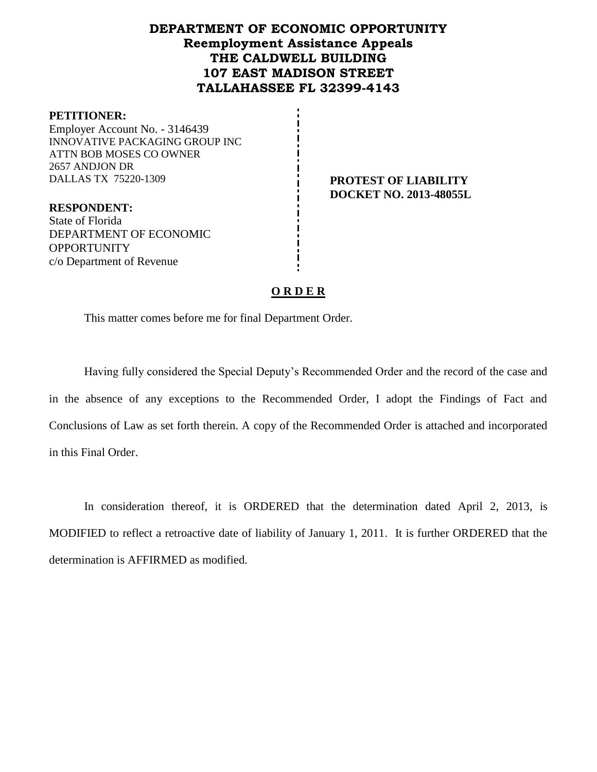# **DEPARTMENT OF ECONOMIC OPPORTUNITY Reemployment Assistance Appeals THE CALDWELL BUILDING 107 EAST MADISON STREET TALLAHASSEE FL 32399-4143**

#### **PETITIONER:**

Employer Account No. - 3146439 INNOVATIVE PACKAGING GROUP INC ATTN BOB MOSES CO OWNER 2657 ANDJON DR DALLAS TX 75220-1309 **PROTEST OF LIABILITY**

**DOCKET NO. 2013-48055L**

**RESPONDENT:** State of Florida DEPARTMENT OF ECONOMIC **OPPORTUNITY** c/o Department of Revenue

### **O R D E R**

This matter comes before me for final Department Order.

Having fully considered the Special Deputy's Recommended Order and the record of the case and in the absence of any exceptions to the Recommended Order, I adopt the Findings of Fact and Conclusions of Law as set forth therein. A copy of the Recommended Order is attached and incorporated in this Final Order.

In consideration thereof, it is ORDERED that the determination dated April 2, 2013, is MODIFIED to reflect a retroactive date of liability of January 1, 2011. It is further ORDERED that the determination is AFFIRMED as modified.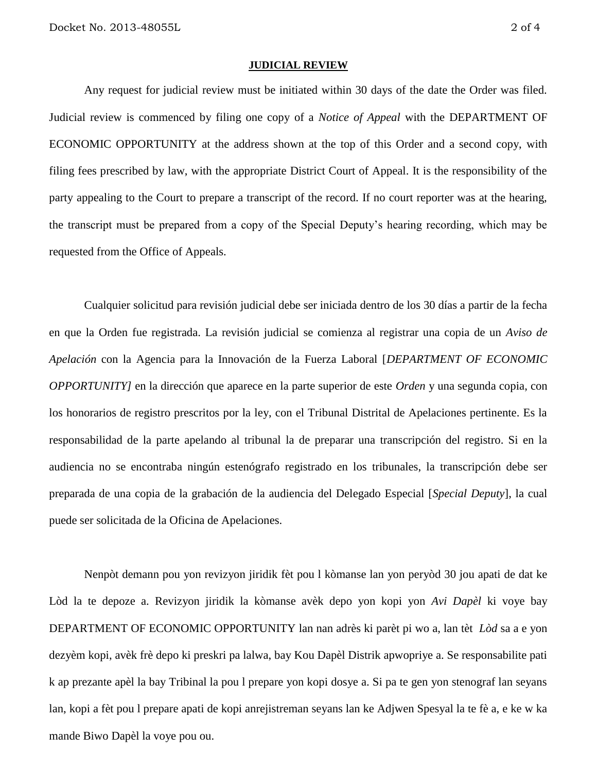#### **JUDICIAL REVIEW**

Any request for judicial review must be initiated within 30 days of the date the Order was filed. Judicial review is commenced by filing one copy of a *Notice of Appeal* with the DEPARTMENT OF ECONOMIC OPPORTUNITY at the address shown at the top of this Order and a second copy, with filing fees prescribed by law, with the appropriate District Court of Appeal. It is the responsibility of the party appealing to the Court to prepare a transcript of the record. If no court reporter was at the hearing, the transcript must be prepared from a copy of the Special Deputy's hearing recording, which may be requested from the Office of Appeals.

Cualquier solicitud para revisión judicial debe ser iniciada dentro de los 30 días a partir de la fecha en que la Orden fue registrada. La revisión judicial se comienza al registrar una copia de un *Aviso de Apelación* con la Agencia para la Innovación de la Fuerza Laboral [*DEPARTMENT OF ECONOMIC OPPORTUNITY]* en la dirección que aparece en la parte superior de este *Orden* y una segunda copia, con los honorarios de registro prescritos por la ley, con el Tribunal Distrital de Apelaciones pertinente. Es la responsabilidad de la parte apelando al tribunal la de preparar una transcripción del registro. Si en la audiencia no se encontraba ningún estenógrafo registrado en los tribunales, la transcripción debe ser preparada de una copia de la grabación de la audiencia del Delegado Especial [*Special Deputy*], la cual puede ser solicitada de la Oficina de Apelaciones.

Nenpòt demann pou yon revizyon jiridik fèt pou l kòmanse lan yon peryòd 30 jou apati de dat ke Lòd la te depoze a. Revizyon jiridik la kòmanse avèk depo yon kopi yon *Avi Dapèl* ki voye bay DEPARTMENT OF ECONOMIC OPPORTUNITY lan nan adrès ki parèt pi wo a, lan tèt *Lòd* sa a e yon dezyèm kopi, avèk frè depo ki preskri pa lalwa, bay Kou Dapèl Distrik apwopriye a. Se responsabilite pati k ap prezante apèl la bay Tribinal la pou l prepare yon kopi dosye a. Si pa te gen yon stenograf lan seyans lan, kopi a fèt pou l prepare apati de kopi anrejistreman seyans lan ke Adjwen Spesyal la te fè a, e ke w ka mande Biwo Dapèl la voye pou ou.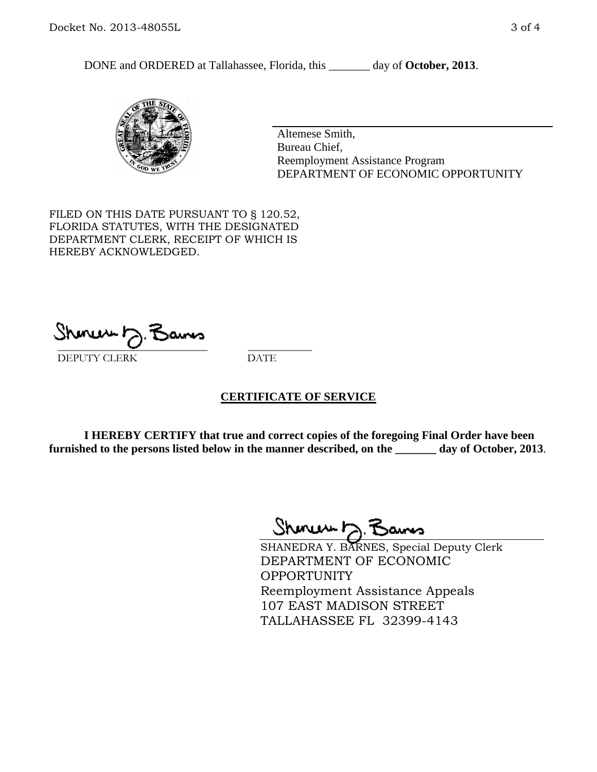DONE and ORDERED at Tallahassee, Florida, this \_\_\_\_\_\_\_ day of **October, 2013**.



Altemese Smith, Bureau Chief, Reemployment Assistance Program DEPARTMENT OF ECONOMIC OPPORTUNITY

FILED ON THIS DATE PURSUANT TO § 120.52, FLORIDA STATUTES, WITH THE DESIGNATED DEPARTMENT CLERK, RECEIPT OF WHICH IS HEREBY ACKNOWLEDGED.

 $\overline{\phantom{a}}$  ,  $\overline{\phantom{a}}$  ,  $\overline{\phantom{a}}$  ,  $\overline{\phantom{a}}$  ,  $\overline{\phantom{a}}$  ,  $\overline{\phantom{a}}$  ,  $\overline{\phantom{a}}$  ,  $\overline{\phantom{a}}$  ,  $\overline{\phantom{a}}$  ,  $\overline{\phantom{a}}$  ,  $\overline{\phantom{a}}$  ,  $\overline{\phantom{a}}$  ,  $\overline{\phantom{a}}$  ,  $\overline{\phantom{a}}$  ,  $\overline{\phantom{a}}$  ,  $\overline{\phantom{a}}$ DEPUTY CLERK DATE

### **CERTIFICATE OF SERVICE**

**I HEREBY CERTIFY that true and correct copies of the foregoing Final Order have been furnished to the persons listed below in the manner described, on the \_\_\_\_\_\_\_ day of October, 2013**.

Shinew b.F

SHANEDRA Y. BARNES, Special Deputy Clerk DEPARTMENT OF ECONOMIC **OPPORTUNITY** Reemployment Assistance Appeals 107 EAST MADISON STREET TALLAHASSEE FL 32399-4143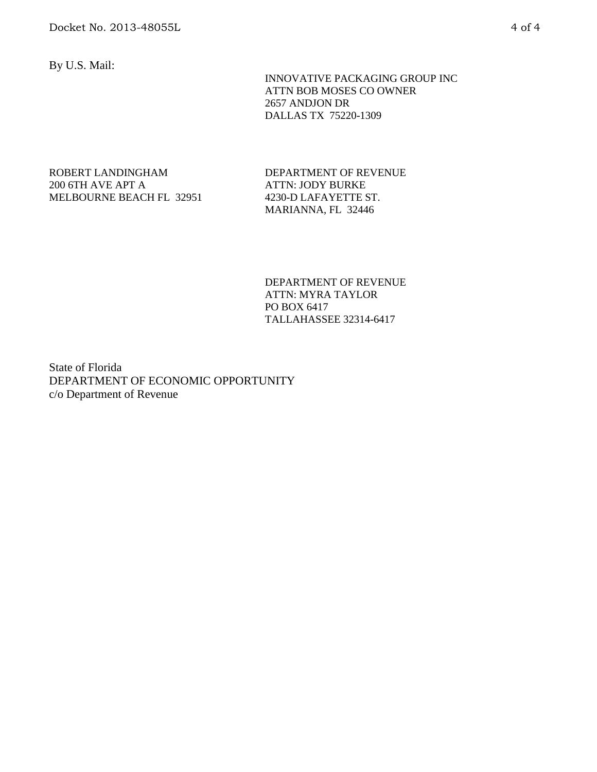By U.S. Mail:

 INNOVATIVE PACKAGING GROUP INC ATTN BOB MOSES CO OWNER 2657 ANDJON DR DALLAS TX 75220-1309

### ROBERT LANDINGHAM 200 6TH AVE APT A MELBOURNE BEACH FL 32951

DEPARTMENT OF REVENUE ATTN: JODY BURKE 4230-D LAFAYETTE ST. MARIANNA, FL 32446

DEPARTMENT OF REVENUE ATTN: MYRA TAYLOR PO BOX 6417 TALLAHASSEE 32314-6417

State of Florida DEPARTMENT OF ECONOMIC OPPORTUNITY c/o Department of Revenue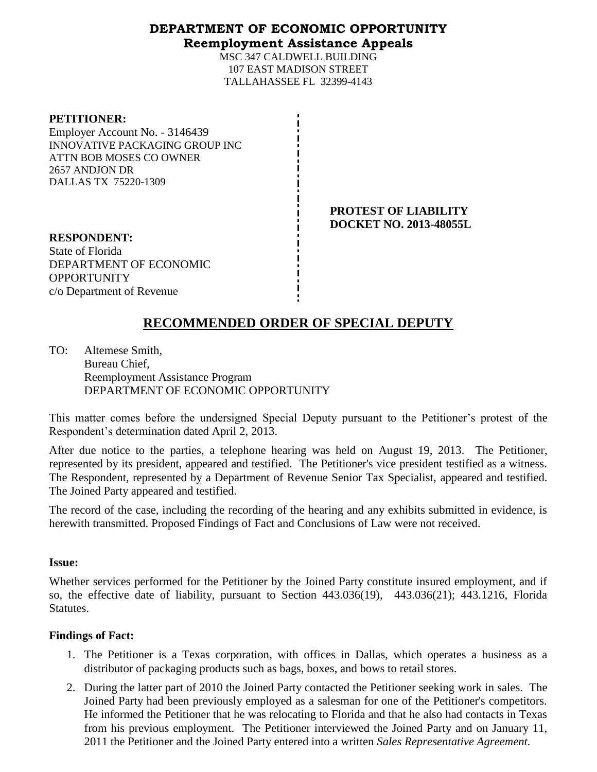# **DEPARTMENT OF ECONOMIC OPPORTUNITY Reemployment Assistance Appeals**

MSC 347 CALDWELL BUILDING 107 EAST MADISON STREET TALLAHASSEE FL 32399-4143

| <b>PETITIONER:</b>                    |
|---------------------------------------|
| Employer Account No. - 3146439        |
| <b>INNOVATIVE PACKAGING GROUP INC</b> |
| ATTN BOB MOSES CO OWNER               |
| 2657 ANDJON DR                        |
| DALLAS TX 75220-1309                  |
|                                       |

**PROTEST OF LIABILITY DOCKET NO. 2013-48055L**

**RESPONDENT:** State of Florida DEPARTMENT OF ECONOMIC **OPPORTUNITY** c/o Department of Revenue

# **RECOMMENDED ORDER OF SPECIAL DEPUTY**

TO: Altemese Smith, Bureau Chief, Reemployment Assistance Program DEPARTMENT OF ECONOMIC OPPORTUNITY

This matter comes before the undersigned Special Deputy pursuant to the Petitioner's protest of the Respondent's determination dated April 2, 2013.

After due notice to the parties, a telephone hearing was held on August 19, 2013. The Petitioner, represented by its president, appeared and testified. The Petitioner's vice president testified as a witness. The Respondent, represented by a Department of Revenue Senior Tax Specialist, appeared and testified. The Joined Party appeared and testified.

The record of the case, including the recording of the hearing and any exhibits submitted in evidence, is herewith transmitted. Proposed Findings of Fact and Conclusions of Law were not received.

### **Issue:**

Whether services performed for the Petitioner by the Joined Party constitute insured employment, and if so, the effective date of liability, pursuant to Section 443.036(19), 443.036(21); 443.1216, Florida Statutes.

# **Findings of Fact:**

- 1. The Petitioner is a Texas corporation, with offices in Dallas, which operates a business as a distributor of packaging products such as bags, boxes, and bows to retail stores.
- 2. During the latter part of 2010 the Joined Party contacted the Petitioner seeking work in sales. The Joined Party had been previously employed as a salesman for one of the Petitioner's competitors. He informed the Petitioner that he was relocating to Florida and that he also had contacts in Texas from his previous employment. The Petitioner interviewed the Joined Party and on January 11, 2011 the Petitioner and the Joined Party entered into a written *Sales Representative Agreement.*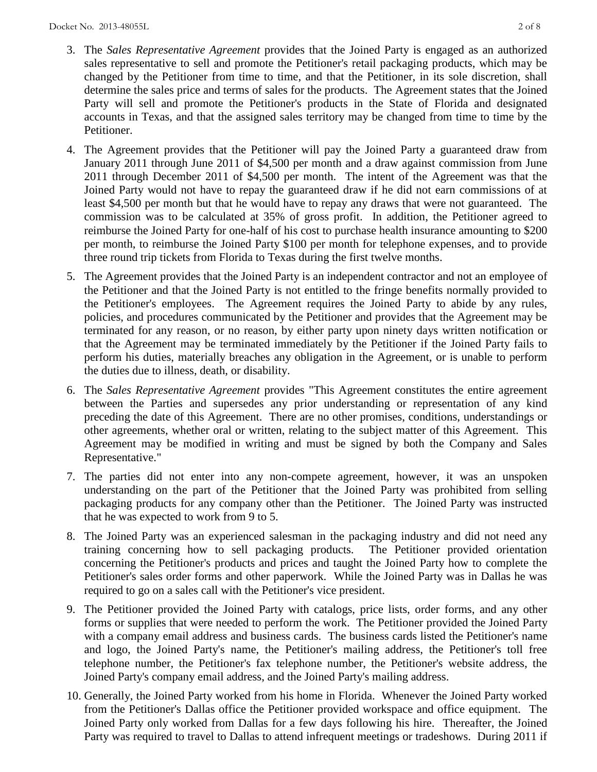- 3. The *Sales Representative Agreement* provides that the Joined Party is engaged as an authorized sales representative to sell and promote the Petitioner's retail packaging products, which may be changed by the Petitioner from time to time, and that the Petitioner, in its sole discretion, shall determine the sales price and terms of sales for the products. The Agreement states that the Joined Party will sell and promote the Petitioner's products in the State of Florida and designated accounts in Texas, and that the assigned sales territory may be changed from time to time by the Petitioner.
- 4. The Agreement provides that the Petitioner will pay the Joined Party a guaranteed draw from January 2011 through June 2011 of \$4,500 per month and a draw against commission from June 2011 through December 2011 of \$4,500 per month. The intent of the Agreement was that the Joined Party would not have to repay the guaranteed draw if he did not earn commissions of at least \$4,500 per month but that he would have to repay any draws that were not guaranteed. The commission was to be calculated at 35% of gross profit. In addition, the Petitioner agreed to reimburse the Joined Party for one-half of his cost to purchase health insurance amounting to \$200 per month, to reimburse the Joined Party \$100 per month for telephone expenses, and to provide three round trip tickets from Florida to Texas during the first twelve months.
- 5. The Agreement provides that the Joined Party is an independent contractor and not an employee of the Petitioner and that the Joined Party is not entitled to the fringe benefits normally provided to the Petitioner's employees. The Agreement requires the Joined Party to abide by any rules, policies, and procedures communicated by the Petitioner and provides that the Agreement may be terminated for any reason, or no reason, by either party upon ninety days written notification or that the Agreement may be terminated immediately by the Petitioner if the Joined Party fails to perform his duties, materially breaches any obligation in the Agreement, or is unable to perform the duties due to illness, death, or disability.
- 6. The *Sales Representative Agreement* provides "This Agreement constitutes the entire agreement between the Parties and supersedes any prior understanding or representation of any kind preceding the date of this Agreement. There are no other promises, conditions, understandings or other agreements, whether oral or written, relating to the subject matter of this Agreement. This Agreement may be modified in writing and must be signed by both the Company and Sales Representative."
- 7. The parties did not enter into any non-compete agreement, however, it was an unspoken understanding on the part of the Petitioner that the Joined Party was prohibited from selling packaging products for any company other than the Petitioner. The Joined Party was instructed that he was expected to work from 9 to 5.
- 8. The Joined Party was an experienced salesman in the packaging industry and did not need any training concerning how to sell packaging products. The Petitioner provided orientation concerning the Petitioner's products and prices and taught the Joined Party how to complete the Petitioner's sales order forms and other paperwork. While the Joined Party was in Dallas he was required to go on a sales call with the Petitioner's vice president.
- 9. The Petitioner provided the Joined Party with catalogs, price lists, order forms, and any other forms or supplies that were needed to perform the work. The Petitioner provided the Joined Party with a company email address and business cards. The business cards listed the Petitioner's name and logo, the Joined Party's name, the Petitioner's mailing address, the Petitioner's toll free telephone number, the Petitioner's fax telephone number, the Petitioner's website address, the Joined Party's company email address, and the Joined Party's mailing address.
- 10. Generally, the Joined Party worked from his home in Florida. Whenever the Joined Party worked from the Petitioner's Dallas office the Petitioner provided workspace and office equipment. The Joined Party only worked from Dallas for a few days following his hire. Thereafter, the Joined Party was required to travel to Dallas to attend infrequent meetings or tradeshows. During 2011 if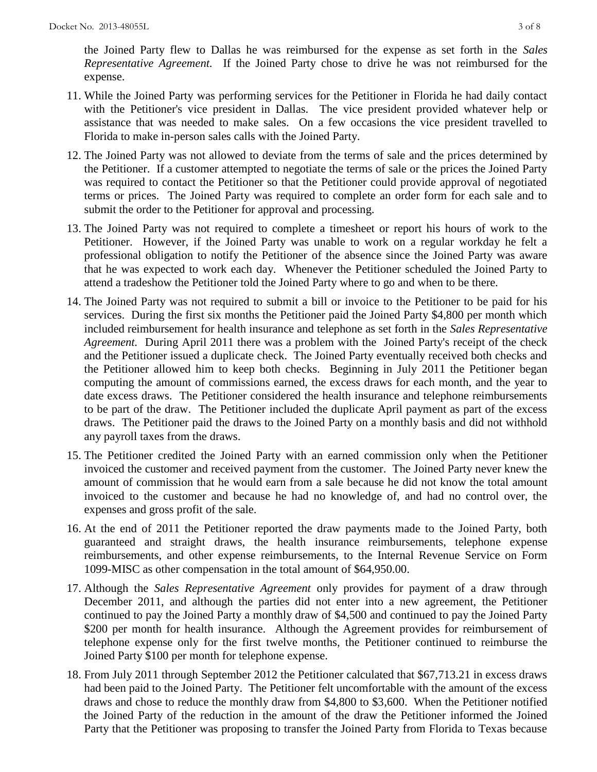the Joined Party flew to Dallas he was reimbursed for the expense as set forth in the *Sales Representative Agreement.* If the Joined Party chose to drive he was not reimbursed for the expense.

- 11. While the Joined Party was performing services for the Petitioner in Florida he had daily contact with the Petitioner's vice president in Dallas. The vice president provided whatever help or assistance that was needed to make sales. On a few occasions the vice president travelled to Florida to make in-person sales calls with the Joined Party.
- 12. The Joined Party was not allowed to deviate from the terms of sale and the prices determined by the Petitioner. If a customer attempted to negotiate the terms of sale or the prices the Joined Party was required to contact the Petitioner so that the Petitioner could provide approval of negotiated terms or prices. The Joined Party was required to complete an order form for each sale and to submit the order to the Petitioner for approval and processing.
- 13. The Joined Party was not required to complete a timesheet or report his hours of work to the Petitioner. However, if the Joined Party was unable to work on a regular workday he felt a professional obligation to notify the Petitioner of the absence since the Joined Party was aware that he was expected to work each day. Whenever the Petitioner scheduled the Joined Party to attend a tradeshow the Petitioner told the Joined Party where to go and when to be there.
- 14. The Joined Party was not required to submit a bill or invoice to the Petitioner to be paid for his services. During the first six months the Petitioner paid the Joined Party \$4,800 per month which included reimbursement for health insurance and telephone as set forth in the *Sales Representative Agreement.* During April 2011 there was a problem with the Joined Party's receipt of the check and the Petitioner issued a duplicate check. The Joined Party eventually received both checks and the Petitioner allowed him to keep both checks. Beginning in July 2011 the Petitioner began computing the amount of commissions earned, the excess draws for each month, and the year to date excess draws. The Petitioner considered the health insurance and telephone reimbursements to be part of the draw. The Petitioner included the duplicate April payment as part of the excess draws. The Petitioner paid the draws to the Joined Party on a monthly basis and did not withhold any payroll taxes from the draws.
- 15. The Petitioner credited the Joined Party with an earned commission only when the Petitioner invoiced the customer and received payment from the customer. The Joined Party never knew the amount of commission that he would earn from a sale because he did not know the total amount invoiced to the customer and because he had no knowledge of, and had no control over, the expenses and gross profit of the sale.
- 16. At the end of 2011 the Petitioner reported the draw payments made to the Joined Party, both guaranteed and straight draws, the health insurance reimbursements, telephone expense reimbursements, and other expense reimbursements, to the Internal Revenue Service on Form 1099-MISC as other compensation in the total amount of \$64,950.00.
- 17. Although the *Sales Representative Agreement* only provides for payment of a draw through December 2011, and although the parties did not enter into a new agreement, the Petitioner continued to pay the Joined Party a monthly draw of \$4,500 and continued to pay the Joined Party \$200 per month for health insurance. Although the Agreement provides for reimbursement of telephone expense only for the first twelve months, the Petitioner continued to reimburse the Joined Party \$100 per month for telephone expense.
- 18. From July 2011 through September 2012 the Petitioner calculated that \$67,713.21 in excess draws had been paid to the Joined Party. The Petitioner felt uncomfortable with the amount of the excess draws and chose to reduce the monthly draw from \$4,800 to \$3,600. When the Petitioner notified the Joined Party of the reduction in the amount of the draw the Petitioner informed the Joined Party that the Petitioner was proposing to transfer the Joined Party from Florida to Texas because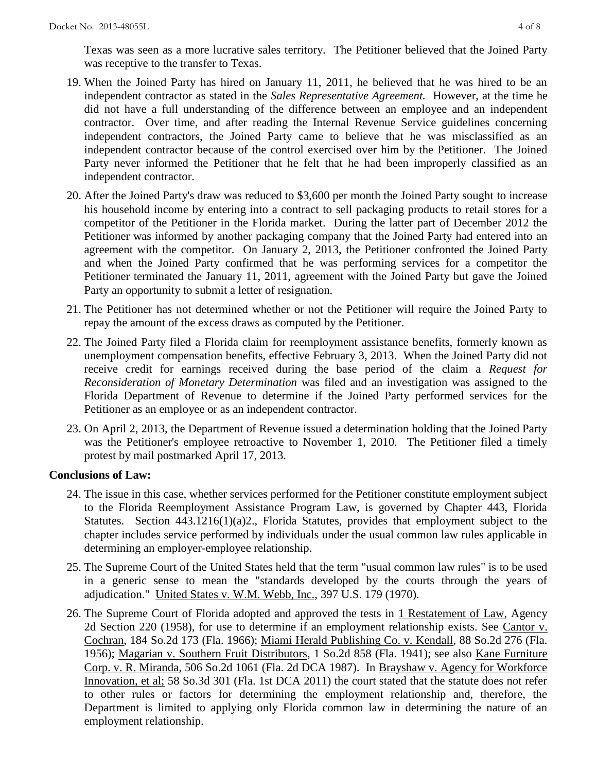Texas was seen as a more lucrative sales territory. The Petitioner believed that the Joined Party was receptive to the transfer to Texas.

- 19. When the Joined Party has hired on January 11, 2011, he believed that he was hired to be an independent contractor as stated in the *Sales Representative Agreement.* However, at the time he did not have a full understanding of the difference between an employee and an independent contractor. Over time, and after reading the Internal Revenue Service guidelines concerning independent contractors, the Joined Party came to believe that he was misclassified as an independent contractor because of the control exercised over him by the Petitioner. The Joined Party never informed the Petitioner that he felt that he had been improperly classified as an independent contractor.
- 20. After the Joined Party's draw was reduced to \$3,600 per month the Joined Party sought to increase his household income by entering into a contract to sell packaging products to retail stores for a competitor of the Petitioner in the Florida market. During the latter part of December 2012 the Petitioner was informed by another packaging company that the Joined Party had entered into an agreement with the competitor. On January 2, 2013, the Petitioner confronted the Joined Party and when the Joined Party confirmed that he was performing services for a competitor the Petitioner terminated the January 11, 2011, agreement with the Joined Party but gave the Joined Party an opportunity to submit a letter of resignation.
- 21. The Petitioner has not determined whether or not the Petitioner will require the Joined Party to repay the amount of the excess draws as computed by the Petitioner.
- 22. The Joined Party filed a Florida claim for reemployment assistance benefits, formerly known as unemployment compensation benefits, effective February 3, 2013. When the Joined Party did not receive credit for earnings received during the base period of the claim a *Request for Reconsideration of Monetary Determination* was filed and an investigation was assigned to the Florida Department of Revenue to determine if the Joined Party performed services for the Petitioner as an employee or as an independent contractor.
- 23. On April 2, 2013, the Department of Revenue issued a determination holding that the Joined Party was the Petitioner's employee retroactive to November 1, 2010. The Petitioner filed a timely protest by mail postmarked April 17, 2013.

### **Conclusions of Law:**

- 24. The issue in this case, whether services performed for the Petitioner constitute employment subject to the Florida Reemployment Assistance Program Law, is governed by Chapter 443, Florida Statutes. Section 443.1216(1)(a)2., Florida Statutes, provides that employment subject to the chapter includes service performed by individuals under the usual common law rules applicable in determining an employer-employee relationship.
- 25. The Supreme Court of the United States held that the term "usual common law rules" is to be used in a generic sense to mean the "standards developed by the courts through the years of adjudication." United States v. W.M. Webb, Inc., 397 U.S. 179 (1970).
- 26. The Supreme Court of Florida adopted and approved the tests in 1 Restatement of Law, Agency 2d Section 220 (1958), for use to determine if an employment relationship exists. See Cantor v. Cochran, 184 So.2d 173 (Fla. 1966); Miami Herald Publishing Co. v. Kendall, 88 So.2d 276 (Fla. 1956); Magarian v. Southern Fruit Distributors, 1 So.2d 858 (Fla. 1941); see also Kane Furniture Corp. v. R. Miranda, 506 So.2d 1061 (Fla. 2d DCA 1987). In Brayshaw v. Agency for Workforce Innovation, et al; 58 So.3d 301 (Fla. 1st DCA 2011) the court stated that the statute does not refer to other rules or factors for determining the employment relationship and, therefore, the Department is limited to applying only Florida common law in determining the nature of an employment relationship.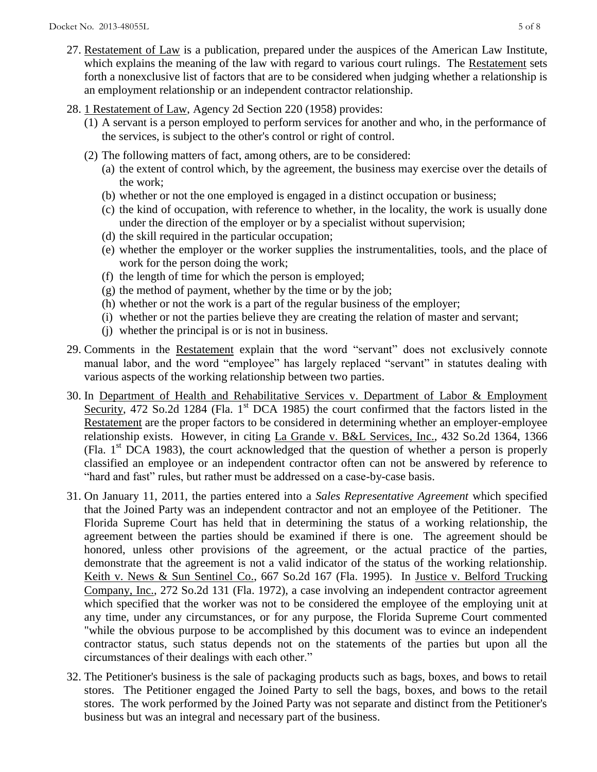- 27. Restatement of Law is a publication, prepared under the auspices of the American Law Institute, which explains the meaning of the law with regard to various court rulings. The Restatement sets forth a nonexclusive list of factors that are to be considered when judging whether a relationship is an employment relationship or an independent contractor relationship.
- 28. 1 Restatement of Law, Agency 2d Section 220 (1958) provides:
	- (1) A servant is a person employed to perform services for another and who, in the performance of the services, is subject to the other's control or right of control.
	- (2) The following matters of fact, among others, are to be considered:
		- (a) the extent of control which, by the agreement, the business may exercise over the details of the work;
		- (b) whether or not the one employed is engaged in a distinct occupation or business;
		- (c) the kind of occupation, with reference to whether, in the locality, the work is usually done under the direction of the employer or by a specialist without supervision;
		- (d) the skill required in the particular occupation;
		- (e) whether the employer or the worker supplies the instrumentalities, tools, and the place of work for the person doing the work;
		- (f) the length of time for which the person is employed;
		- $(g)$  the method of payment, whether by the time or by the job;
		- (h) whether or not the work is a part of the regular business of the employer;
		- (i) whether or not the parties believe they are creating the relation of master and servant;
		- (j) whether the principal is or is not in business.
- 29. Comments in the Restatement explain that the word "servant" does not exclusively connote manual labor, and the word "employee" has largely replaced "servant" in statutes dealing with various aspects of the working relationship between two parties.
- 30. In Department of Health and Rehabilitative Services v. Department of Labor & Employment Security, 472 So.2d 1284 (Fla. 1<sup>st</sup> DCA 1985) the court confirmed that the factors listed in the Restatement are the proper factors to be considered in determining whether an employer-employee relationship exists. However, in citing La Grande v. B&L Services, Inc., 432 So.2d 1364, 1366 (Fla.  $1<sup>st</sup> DCA$  1983), the court acknowledged that the question of whether a person is properly classified an employee or an independent contractor often can not be answered by reference to "hard and fast" rules, but rather must be addressed on a case-by-case basis.
- 31. On January 11, 2011, the parties entered into a *Sales Representative Agreement* which specified that the Joined Party was an independent contractor and not an employee of the Petitioner. The Florida Supreme Court has held that in determining the status of a working relationship, the agreement between the parties should be examined if there is one. The agreement should be honored, unless other provisions of the agreement, or the actual practice of the parties, demonstrate that the agreement is not a valid indicator of the status of the working relationship. Keith v. News & Sun Sentinel Co., 667 So.2d 167 (Fla. 1995). In Justice v. Belford Trucking Company, Inc., 272 So.2d 131 (Fla. 1972), a case involving an independent contractor agreement which specified that the worker was not to be considered the employee of the employing unit at any time, under any circumstances, or for any purpose, the Florida Supreme Court commented "while the obvious purpose to be accomplished by this document was to evince an independent contractor status, such status depends not on the statements of the parties but upon all the circumstances of their dealings with each other."
- 32. The Petitioner's business is the sale of packaging products such as bags, boxes, and bows to retail stores. The Petitioner engaged the Joined Party to sell the bags, boxes, and bows to the retail stores. The work performed by the Joined Party was not separate and distinct from the Petitioner's business but was an integral and necessary part of the business.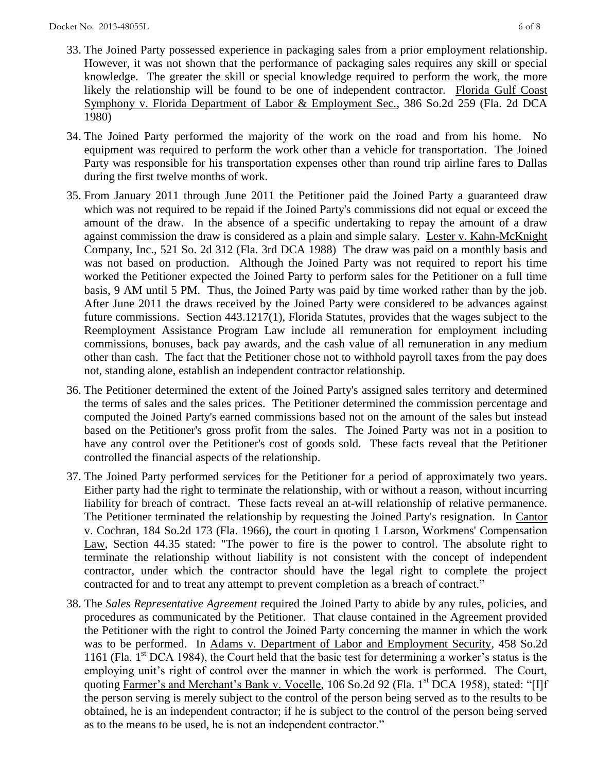- 33. The Joined Party possessed experience in packaging sales from a prior employment relationship. However, it was not shown that the performance of packaging sales requires any skill or special knowledge. The greater the skill or special knowledge required to perform the work, the more likely the relationship will be found to be one of independent contractor. Florida Gulf Coast Symphony v. Florida Department of Labor & Employment Sec., 386 So.2d 259 (Fla. 2d DCA 1980)
- 34. The Joined Party performed the majority of the work on the road and from his home. No equipment was required to perform the work other than a vehicle for transportation. The Joined Party was responsible for his transportation expenses other than round trip airline fares to Dallas during the first twelve months of work.
- 35. From January 2011 through June 2011 the Petitioner paid the Joined Party a guaranteed draw which was not required to be repaid if the Joined Party's commissions did not equal or exceed the amount of the draw. In the absence of a specific undertaking to repay the amount of a draw against commission the draw is considered as a plain and simple salary. Lester v. Kahn-McKnight Company, Inc., 521 So. 2d 312 (Fla. 3rd DCA 1988) The draw was paid on a monthly basis and was not based on production. Although the Joined Party was not required to report his time worked the Petitioner expected the Joined Party to perform sales for the Petitioner on a full time basis, 9 AM until 5 PM. Thus, the Joined Party was paid by time worked rather than by the job. After June 2011 the draws received by the Joined Party were considered to be advances against future commissions. Section 443.1217(1), Florida Statutes, provides that the wages subject to the Reemployment Assistance Program Law include all remuneration for employment including commissions, bonuses, back pay awards, and the cash value of all remuneration in any medium other than cash. The fact that the Petitioner chose not to withhold payroll taxes from the pay does not, standing alone, establish an independent contractor relationship.
- 36. The Petitioner determined the extent of the Joined Party's assigned sales territory and determined the terms of sales and the sales prices. The Petitioner determined the commission percentage and computed the Joined Party's earned commissions based not on the amount of the sales but instead based on the Petitioner's gross profit from the sales. The Joined Party was not in a position to have any control over the Petitioner's cost of goods sold. These facts reveal that the Petitioner controlled the financial aspects of the relationship.
- 37. The Joined Party performed services for the Petitioner for a period of approximately two years. Either party had the right to terminate the relationship, with or without a reason, without incurring liability for breach of contract. These facts reveal an at-will relationship of relative permanence. The Petitioner terminated the relationship by requesting the Joined Party's resignation. In Cantor v. Cochran, 184 So.2d 173 (Fla. 1966), the court in quoting 1 Larson, Workmens' Compensation Law, Section 44.35 stated: "The power to fire is the power to control. The absolute right to terminate the relationship without liability is not consistent with the concept of independent contractor, under which the contractor should have the legal right to complete the project contracted for and to treat any attempt to prevent completion as a breach of contract."
- 38. The *Sales Representative Agreement* required the Joined Party to abide by any rules, policies, and procedures as communicated by the Petitioner. That clause contained in the Agreement provided the Petitioner with the right to control the Joined Party concerning the manner in which the work was to be performed. In Adams v. Department of Labor and Employment Security, 458 So.2d 1161 (Fla.  $1<sup>st</sup> DCA$  1984), the Court held that the basic test for determining a worker's status is the employing unit's right of control over the manner in which the work is performed. The Court, quoting Farmer's and Merchant's Bank v. Vocelle, 106 So.2d 92 (Fla. 1<sup>st</sup> DCA 1958), stated: "[I]f the person serving is merely subject to the control of the person being served as to the results to be obtained, he is an independent contractor; if he is subject to the control of the person being served as to the means to be used, he is not an independent contractor."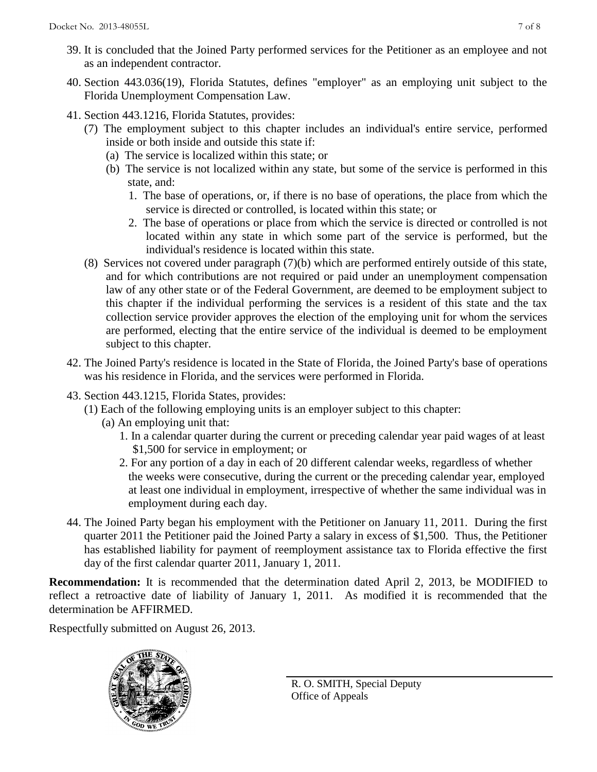- 39. It is concluded that the Joined Party performed services for the Petitioner as an employee and not as an independent contractor.
- 40. Section 443.036(19), Florida Statutes, defines "employer" as an employing unit subject to the Florida Unemployment Compensation Law.
- 41. Section 443.1216, Florida Statutes, provides:
	- (7) The employment subject to this chapter includes an individual's entire service, performed inside or both inside and outside this state if:
		- (a) The service is localized within this state; or
		- (b) The service is not localized within any state, but some of the service is performed in this state, and:
			- 1. The base of operations, or, if there is no base of operations, the place from which the service is directed or controlled, is located within this state; or
			- 2. The base of operations or place from which the service is directed or controlled is not located within any state in which some part of the service is performed, but the individual's residence is located within this state.
	- (8) Services not covered under paragraph (7)(b) which are performed entirely outside of this state, and for which contributions are not required or paid under an unemployment compensation law of any other state or of the Federal Government, are deemed to be employment subject to this chapter if the individual performing the services is a resident of this state and the tax collection service provider approves the election of the employing unit for whom the services are performed, electing that the entire service of the individual is deemed to be employment subject to this chapter.
- 42. The Joined Party's residence is located in the State of Florida, the Joined Party's base of operations was his residence in Florida, and the services were performed in Florida.
- 43. Section 443.1215, Florida States, provides:
	- (1) Each of the following employing units is an employer subject to this chapter:
		- (a) An employing unit that:
			- 1. In a calendar quarter during the current or preceding calendar year paid wages of at least \$1,500 for service in employment; or
			- 2. For any portion of a day in each of 20 different calendar weeks, regardless of whether the weeks were consecutive, during the current or the preceding calendar year, employed at least one individual in employment, irrespective of whether the same individual was in employment during each day.
- 44. The Joined Party began his employment with the Petitioner on January 11, 2011. During the first quarter 2011 the Petitioner paid the Joined Party a salary in excess of \$1,500. Thus, the Petitioner has established liability for payment of reemployment assistance tax to Florida effective the first day of the first calendar quarter 2011, January 1, 2011.

**Recommendation:** It is recommended that the determination dated April 2, 2013, be MODIFIED to reflect a retroactive date of liability of January 1, 2011. As modified it is recommended that the determination be AFFIRMED.

Respectfully submitted on August 26, 2013.